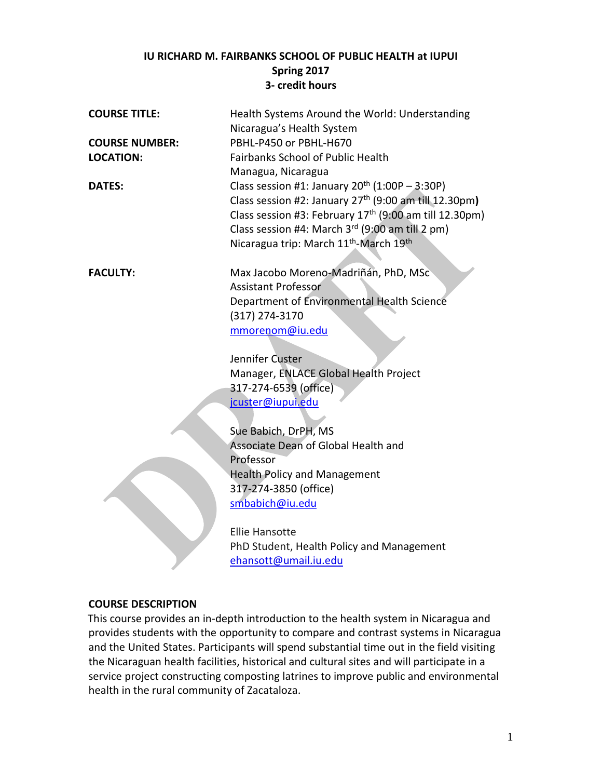#### **IU RICHARD M. FAIRBANKS SCHOOL OF PUBLIC HEALTH at IUPUI Spring 2017 3- credit hours**

| <b>COURSE TITLE:</b>  | Health Systems Around the World: Understanding                     |
|-----------------------|--------------------------------------------------------------------|
|                       | Nicaragua's Health System                                          |
| <b>COURSE NUMBER:</b> | PBHL-P450 or PBHL-H670                                             |
| <b>LOCATION:</b>      | <b>Fairbanks School of Public Health</b>                           |
|                       | Managua, Nicaragua                                                 |
| <b>DATES:</b>         | Class session #1: January $20^{th}$ (1:00P - 3:30P)                |
|                       | Class session #2: January 27 <sup>th</sup> (9:00 am till 12.30pm)  |
|                       | Class session #3: February 17 <sup>th</sup> (9:00 am till 12.30pm) |
|                       | Class session #4: March 3rd (9:00 am till 2 pm)                    |
|                       | Nicaragua trip: March 11 <sup>th</sup> -March 19 <sup>th</sup>     |
|                       |                                                                    |

**FACULTY:** Max Jacobo Moreno-Madriñán, PhD, MSc Assistant Professor Department of Environmental Health Science (317) 274-3170 [mmorenom@iu.edu](mailto:mmorenom@iupui.edu)

> Jennifer Custer Manager, ENLACE Global Health Project 317-274-6539 (office) jcuster@iupui.edu

Sue Babich, DrPH, MS Associate Dean of Global Health and Professor Health Policy and Management 317-274-3850 (office) [smbabich@iu.edu](mailto:smbabich@iu.edu)

Ellie Hansotte PhD Student, Health Policy and Management ehansott@umail.iu.edu

#### **COURSE DESCRIPTION**

This course provides an in-depth introduction to the health system in Nicaragua and provides students with the opportunity to compare and contrast systems in Nicaragua and the United States. Participants will spend substantial time out in the field visiting the Nicaraguan health facilities, historical and cultural sites and will participate in a service project constructing composting latrines to improve public and environmental health in the rural community of Zacataloza.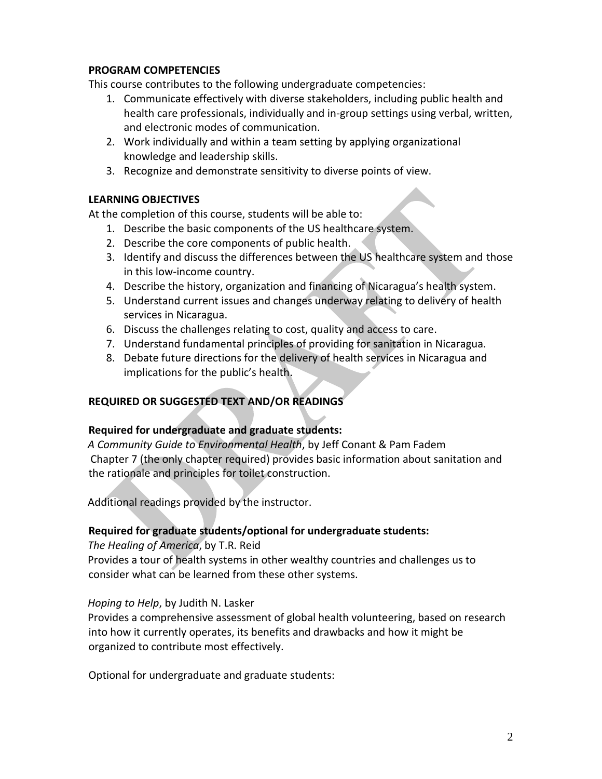#### **PROGRAM COMPETENCIES**

This course contributes to the following undergraduate competencies:

- 1. Communicate effectively with diverse stakeholders, including public health and health care professionals, individually and in-group settings using verbal, written, and electronic modes of communication.
- 2. Work individually and within a team setting by applying organizational knowledge and leadership skills.
- 3. Recognize and demonstrate sensitivity to diverse points of view.

#### **LEARNING OBJECTIVES**

At the completion of this course, students will be able to:

- 1. Describe the basic components of the US healthcare system.
- 2. Describe the core components of public health.
- 3. Identify and discuss the differences between the US healthcare system and those in this low-income country.
- 4. Describe the history, organization and financing of Nicaragua's health system.
- 5. Understand current issues and changes underway relating to delivery of health services in Nicaragua.
- 6. Discuss the challenges relating to cost, quality and access to care.
- 7. Understand fundamental principles of providing for sanitation in Nicaragua.
- 8. Debate future directions for the delivery of health services in Nicaragua and implications for the public's health.

## **REQUIRED OR SUGGESTED TEXT AND/OR READINGS**

#### **Required for undergraduate and graduate students:**

*A Community Guide to Environmental Health*, by Jeff Conant & Pam Fadem Chapter 7 (the only chapter required) provides basic information about sanitation and the rationale and principles for toilet construction.

Additional readings provided by the instructor.

#### **Required for graduate students/optional for undergraduate students:**

*The Healing of America*, by T.R. Reid Provides a tour of health systems in other wealthy countries and challenges us to consider what can be learned from these other systems.

#### *Hoping to Help*, by Judith N. Lasker

Provides a comprehensive assessment of global health volunteering, based on research into how it currently operates, its benefits and drawbacks and how it might be organized to contribute most effectively.

Optional for undergraduate and graduate students: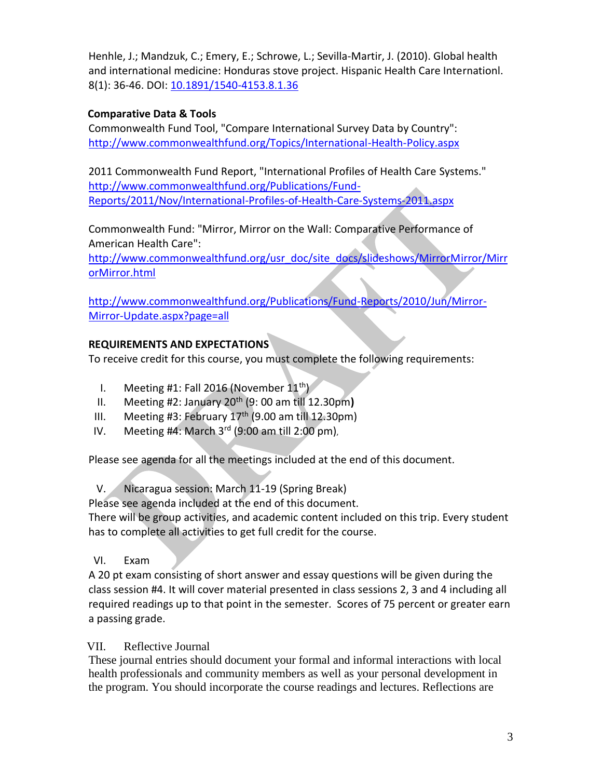Henhle, J.; Mandzuk, C.; Emery, E.; Schrowe, L.; Sevilla-Martir, J. (2010). Global health and international medicine: Honduras stove project. Hispanic Health Care Internationl. 8(1): 36-46. DOI: [10.1891/1540-4153.8.1.36](http://dx.doi.org/10.1891/1540-4153.8.1.36)

### **Comparative Data & Tools**

Commonwealth Fund Tool, "Compare International Survey Data by Country": <http://www.commonwealthfund.org/Topics/International-Health-Policy.aspx>

2011 Commonwealth Fund Report, "International Profiles of Health Care Systems." [http://www.commonwealthfund.org/Publications/Fund-](http://www.commonwealthfund.org/Publications/Fund-Reports/2011/Nov/International-Profiles-of-Health-Care-Systems-2011.aspx)[Reports/2011/Nov/International-Profiles-of-Health-Care-Systems-2011.aspx](http://www.commonwealthfund.org/Publications/Fund-Reports/2011/Nov/International-Profiles-of-Health-Care-Systems-2011.aspx)

Commonwealth Fund: "Mirror, Mirror on the Wall: Comparative Performance of American Health Care":

[http://www.commonwealthfund.org/usr\\_doc/site\\_docs/slideshows/MirrorMirror/Mirr](http://www.commonwealthfund.org/usr_doc/site_docs/slideshows/MirrorMirror/MirrorMirror.html) [orMirror.html](http://www.commonwealthfund.org/usr_doc/site_docs/slideshows/MirrorMirror/MirrorMirror.html)

[http://www.commonwealthfund.org/Publications/Fund-Reports/2010/Jun/Mirror-](http://www.commonwealthfund.org/Publications/Fund-Reports/2010/Jun/Mirror-Mirror-Update.aspx?page=all)[Mirror-Update.aspx?page=all](http://www.commonwealthfund.org/Publications/Fund-Reports/2010/Jun/Mirror-Mirror-Update.aspx?page=all)

## **REQUIREMENTS AND EXPECTATIONS**

To receive credit for this course, you must complete the following requirements:

- I. Meeting #1: Fall 2016 (November  $11^{th}$ )
- II. Meeting #2: January 20th (9: 00 am till 12.30pm**)**
- III. Meeting #3: February  $17<sup>th</sup>$  (9.00 am till 12.30pm)
- IV. Meeting  $#4$ : March  $3<sup>rd</sup>$  (9:00 am till 2:00 pm),

Please see agenda for all the meetings included at the end of this document.

V. Nicaragua session: March 11-19 (Spring Break)

Please see agenda included at the end of this document.

There will be group activities, and academic content included on this trip. Every student has to complete all activities to get full credit for the course.

VI. Exam

A 20 pt exam consisting of short answer and essay questions will be given during the class session #4. It will cover material presented in class sessions 2, 3 and 4 including all required readings up to that point in the semester. Scores of 75 percent or greater earn a passing grade.

## VII. Reflective Journal

These journal entries should document your formal and informal interactions with local health professionals and community members as well as your personal development in the program. You should incorporate the course readings and lectures. Reflections are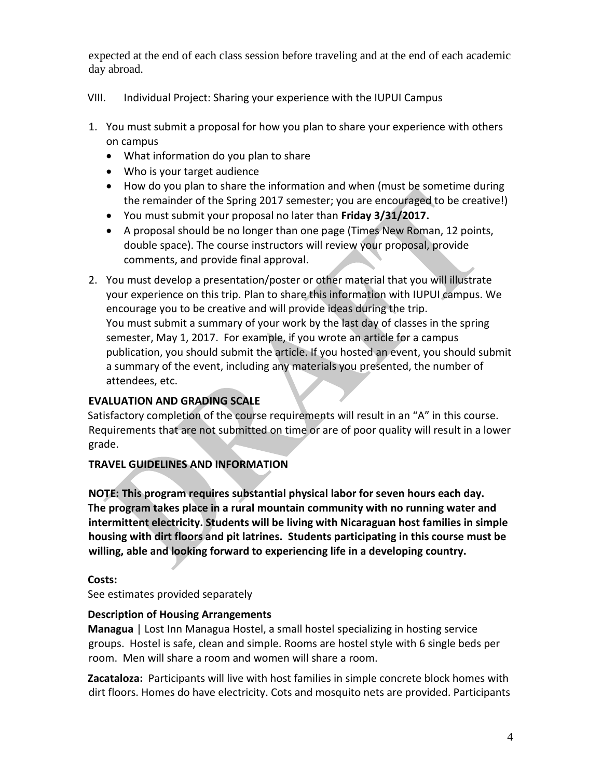expected at the end of each class session before traveling and at the end of each academic day abroad.

### VIII. Individual Project: Sharing your experience with the IUPUI Campus

- 1. You must submit a proposal for how you plan to share your experience with others on campus
	- What information do you plan to share
	- Who is your target audience
	- How do you plan to share the information and when (must be sometime during the remainder of the Spring 2017 semester; you are encouraged to be creative!)
	- You must submit your proposal no later than **Friday 3/31/2017.**
	- A proposal should be no longer than one page (Times New Roman, 12 points, double space). The course instructors will review your proposal, provide comments, and provide final approval.
- 2. You must develop a presentation/poster or other material that you will illustrate your experience on this trip. Plan to share this information with IUPUI campus. We encourage you to be creative and will provide ideas during the trip. You must submit a summary of your work by the last day of classes in the spring semester, May 1, 2017. For example, if you wrote an article for a campus publication, you should submit the article. If you hosted an event, you should submit a summary of the event, including any materials you presented, the number of attendees, etc.

# **EVALUATION AND GRADING SCALE**

Satisfactory completion of the course requirements will result in an "A" in this course. Requirements that are not submitted on time or are of poor quality will result in a lower grade.

# **TRAVEL GUIDELINES AND INFORMATION**

**NOTE: This program requires substantial physical labor for seven hours each day. The program takes place in a rural mountain community with no running water and intermittent electricity. Students will be living with Nicaraguan host families in simple housing with dirt floors and pit latrines. Students participating in this course must be willing, able and looking forward to experiencing life in a developing country.**

## **Costs:**

See estimates provided separately

## **Description of Housing Arrangements**

**Managua** | Lost Inn Managua Hostel, a small hostel specializing in hosting service groups. Hostel is safe, clean and simple. Rooms are hostel style with 6 single beds per room. Men will share a room and women will share a room.

**Zacataloza:** Participants will live with host families in simple concrete block homes with dirt floors. Homes do have electricity. Cots and mosquito nets are provided. Participants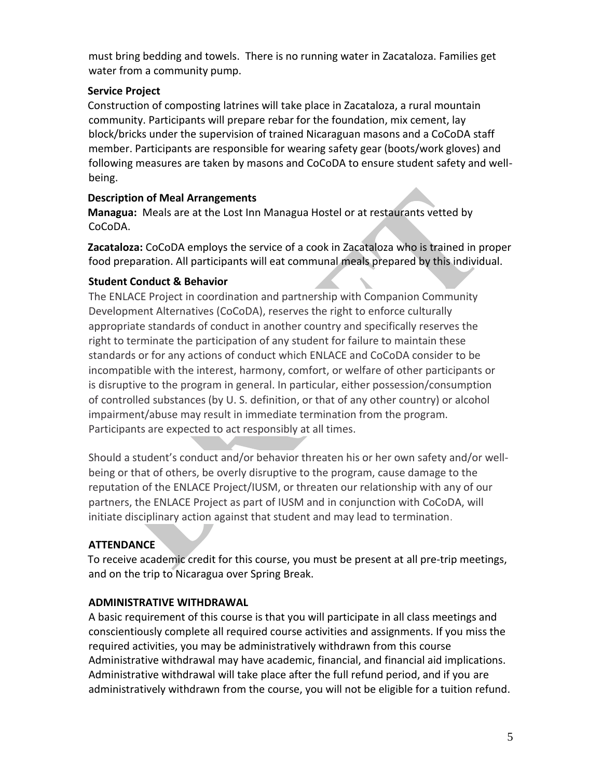must bring bedding and towels. There is no running water in Zacataloza. Families get water from a community pump.

### **Service Project**

Construction of composting latrines will take place in Zacataloza, a rural mountain community. Participants will prepare rebar for the foundation, mix cement, lay block/bricks under the supervision of trained Nicaraguan masons and a CoCoDA staff member. Participants are responsible for wearing safety gear (boots/work gloves) and following measures are taken by masons and CoCoDA to ensure student safety and wellbeing.

#### **Description of Meal Arrangements**

**Managua:** Meals are at the Lost Inn Managua Hostel or at restaurants vetted by CoCoDA.

**Zacataloza:** CoCoDA employs the service of a cook in Zacataloza who is trained in proper food preparation. All participants will eat communal meals prepared by this individual.

## **Student Conduct & Behavior**

The ENLACE Project in coordination and partnership with Companion Community Development Alternatives (CoCoDA), reserves the right to enforce culturally appropriate standards of conduct in another country and specifically reserves the right to terminate the participation of any student for failure to maintain these standards or for any actions of conduct which ENLACE and CoCoDA consider to be incompatible with the interest, harmony, comfort, or welfare of other participants or is disruptive to the program in general. In particular, either possession/consumption of controlled substances (by U. S. definition, or that of any other country) or alcohol impairment/abuse may result in immediate termination from the program. Participants are expected to act responsibly at all times.

Should a student's conduct and/or behavior threaten his or her own safety and/or wellbeing or that of others, be overly disruptive to the program, cause damage to the reputation of the ENLACE Project/IUSM, or threaten our relationship with any of our partners, the ENLACE Project as part of IUSM and in conjunction with CoCoDA, will initiate disciplinary action against that student and may lead to termination.

## **ATTENDANCE**

To receive academic credit for this course, you must be present at all pre-trip meetings, and on the trip to Nicaragua over Spring Break.

## **ADMINISTRATIVE WITHDRAWAL**

A basic requirement of this course is that you will participate in all class meetings and conscientiously complete all required course activities and assignments. If you miss the required activities, you may be administratively withdrawn from this course Administrative withdrawal may have academic, financial, and financial aid implications. Administrative withdrawal will take place after the full refund period, and if you are administratively withdrawn from the course, you will not be eligible for a tuition refund.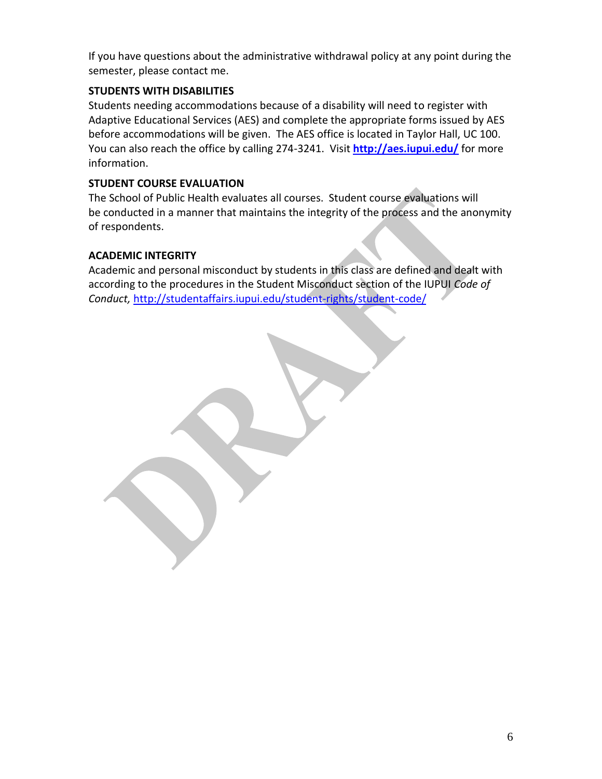If you have questions about the administrative withdrawal policy at any point during the semester, please contact me.

### **STUDENTS WITH DISABILITIES**

Students needing accommodations because of a disability will need to register with Adaptive Educational Services (AES) and complete the appropriate forms issued by AES before accommodations will be given. The AES office is located in Taylor Hall, UC 100. You can also reach the office by calling 274-3241. Visit **<http://aes.iupui.edu/>** for more information.

### **STUDENT COURSE EVALUATION**

The School of Public Health evaluates all courses. Student course evaluations will be conducted in a manner that maintains the integrity of the process and the anonymity of respondents.

### **ACADEMIC INTEGRITY**

Academic and personal misconduct by students in this class are defined and dealt with according to the procedures in the Student Misconduct section of the IUPUI *Code of Conduct,* <http://studentaffairs.iupui.edu/student-rights/student-code/>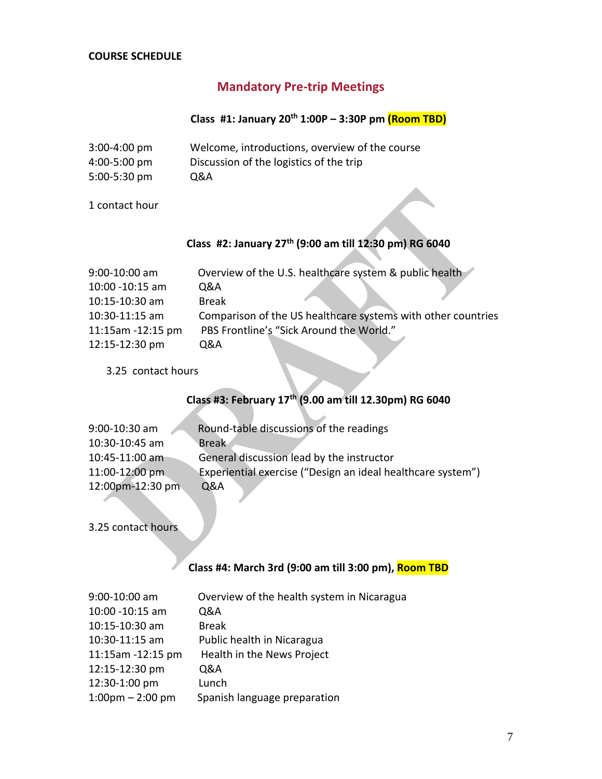#### **COURSE SCHEDULE**

# **Mandatory Pre-trip Meetings**

### **Class #1: January 20th 1:00P – 3:30P pm (Room TBD)**

| $3:00 - 4:00$ pm | Welcome, introductions, overview of the course |
|------------------|------------------------------------------------|
| $4:00 - 5:00$ pm | Discussion of the logistics of the trip        |
| $5:00-5:30$ pm   | Q&A                                            |

1 contact hour

#### **Class #2: January 27 th (9:00 am till 12:30 pm) RG 6040**

| $9:00 - 10:00$ am      | Overview of the U.S. healthcare system & public health       |
|------------------------|--------------------------------------------------------------|
| 10:00 -10:15 am        | Q&A                                                          |
| 10:15-10:30 am         | <b>Break</b>                                                 |
| $10:30 - 11:15$ am     | Comparison of the US healthcare systems with other countries |
| $11:15$ am $-12:15$ pm | PBS Frontline's "Sick Around the World."                     |
| 12:15-12:30 pm         | 0&A                                                          |

3.25 contact hours

## **Class #3: February 17th (9.00 am till 12.30pm) RG 6040**

| $9:00 - 10:30$ am | Round-table discussions of the readings                     |
|-------------------|-------------------------------------------------------------|
| 10:30-10:45 am    | <b>Break</b>                                                |
| 10:45-11:00 am    | General discussion lead by the instructor                   |
| 11:00-12:00 pm    | Experiential exercise ("Design an ideal healthcare system") |
| 12:00pm-12:30 pm  | <b>Q&amp;A</b>                                              |

3.25 contact hours

### **Class #4: March 3rd (9:00 am till 3:00 pm), Room TBD**

| 9:00-10:00 am                     | Overview of the health system in Nicaragua |
|-----------------------------------|--------------------------------------------|
| 10:00 - 10:15 am                  | Q&A                                        |
| 10:15-10:30 am                    | <b>Break</b>                               |
| 10:30-11:15 am                    | Public health in Nicaragua                 |
| 11:15am -12:15 pm                 | Health in the News Project                 |
| 12:15-12:30 pm                    | Q&A                                        |
| 12:30-1:00 pm                     | Lunch                                      |
| $1:00 \text{pm} - 2:00 \text{pm}$ | Spanish language preparation               |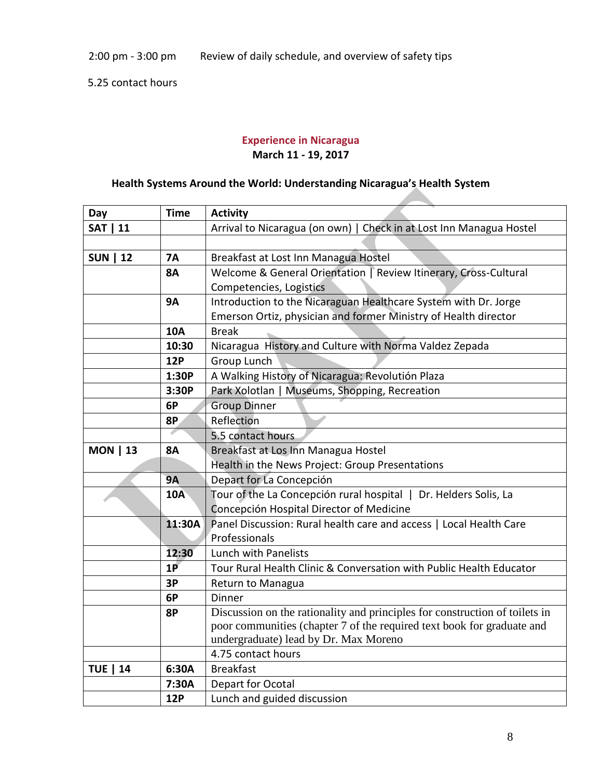5.25 contact hours

#### **Experience in Nicaragua March 11 - 19, 2017**

### **Health Systems Around the World: Understanding Nicaragua's Health System**

**STATISTICS** 

| Day              | <b>Time</b> | <b>Activity</b>                                                             |
|------------------|-------------|-----------------------------------------------------------------------------|
| <b>SAT   11</b>  |             | Arrival to Nicaragua (on own)   Check in at Lost Inn Managua Hostel         |
|                  |             |                                                                             |
| <b>12</b><br>SUN | <b>7A</b>   | Breakfast at Lost Inn Managua Hostel                                        |
|                  | <b>8A</b>   | Welcome & General Orientation   Review Itinerary, Cross-Cultural            |
|                  |             | Competencies, Logistics                                                     |
|                  | <b>9A</b>   | Introduction to the Nicaraguan Healthcare System with Dr. Jorge             |
|                  |             | Emerson Ortiz, physician and former Ministry of Health director             |
|                  | <b>10A</b>  | <b>Break</b>                                                                |
|                  | 10:30       | Nicaragua History and Culture with Norma Valdez Zepada                      |
|                  | <b>12P</b>  | Group Lunch                                                                 |
|                  | 1:30P       | A Walking History of Nicaragua: Revolutión Plaza                            |
|                  | 3:30P       | Park Xolotlan   Museums, Shopping, Recreation                               |
|                  | 6P          | <b>Group Dinner</b>                                                         |
|                  | 8P          | Reflection                                                                  |
|                  |             | 5.5 contact hours                                                           |
| <b>MON   13</b>  | <b>8A</b>   | Breakfast at Los Inn Managua Hostel                                         |
|                  |             | Health in the News Project: Group Presentations                             |
|                  | <b>9A</b>   | Depart for La Concepción                                                    |
|                  | <b>10A</b>  | Tour of the La Concepción rural hospital   Dr. Helders Solis, La            |
|                  |             | Concepción Hospital Director of Medicine                                    |
|                  | 11:30A      | Panel Discussion: Rural health care and access   Local Health Care          |
|                  |             | Professionals                                                               |
|                  | 12:30       | Lunch with Panelists                                                        |
|                  | 1P          | Tour Rural Health Clinic & Conversation with Public Health Educator         |
|                  | 3P          | Return to Managua                                                           |
|                  | 6P          | Dinner                                                                      |
|                  | <b>8P</b>   | Discussion on the rationality and principles for construction of toilets in |
|                  |             | poor communities (chapter 7 of the required text book for graduate and      |
|                  |             | undergraduate) lead by Dr. Max Moreno                                       |
|                  |             | 4.75 contact hours                                                          |
| <b>TUE   14</b>  | 6:30A       | <b>Breakfast</b>                                                            |
|                  | 7:30A       | Depart for Ocotal                                                           |
|                  | <b>12P</b>  | Lunch and guided discussion                                                 |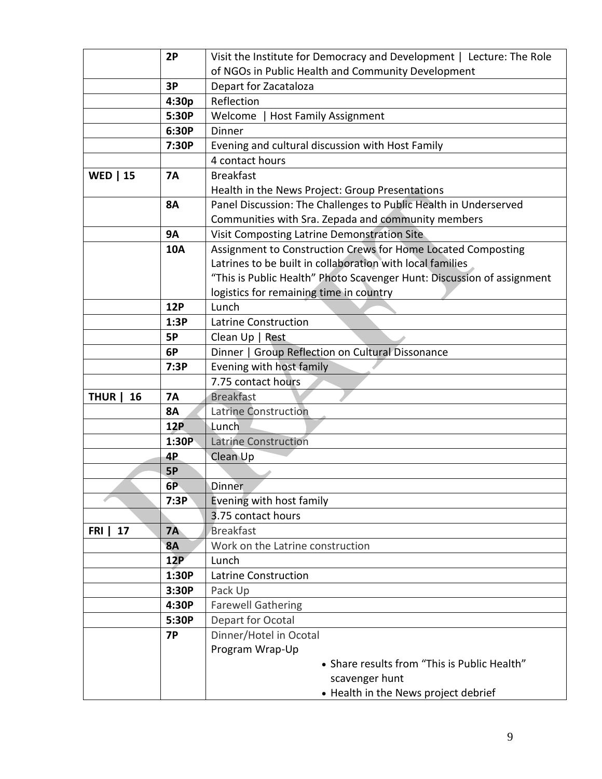|                   | 2P         | Visit the Institute for Democracy and Development   Lecture: The Role  |
|-------------------|------------|------------------------------------------------------------------------|
|                   |            | of NGOs in Public Health and Community Development                     |
|                   | 3P         | Depart for Zacataloza                                                  |
|                   | 4:30p      | Reflection                                                             |
|                   | 5:30P      | Welcome<br>  Host Family Assignment                                    |
|                   | 6:30P      | <b>Dinner</b>                                                          |
|                   | 7:30P      | Evening and cultural discussion with Host Family                       |
|                   |            | 4 contact hours                                                        |
| <b>WED   15</b>   | <b>7A</b>  | <b>Breakfast</b>                                                       |
|                   |            | Health in the News Project: Group Presentations                        |
|                   | <b>8A</b>  | Panel Discussion: The Challenges to Public Health in Underserved       |
|                   |            | Communities with Sra. Zepada and community members                     |
|                   | <b>9A</b>  | Visit Composting Latrine Demonstration Site                            |
|                   | <b>10A</b> | Assignment to Construction Crews for Home Located Composting           |
|                   |            | Latrines to be built in collaboration with local families              |
|                   |            | "This is Public Health" Photo Scavenger Hunt: Discussion of assignment |
|                   |            | logistics for remaining time in country                                |
|                   | <b>12P</b> | Lunch                                                                  |
|                   | 1:3P       | <b>Latrine Construction</b>                                            |
|                   | <b>5P</b>  | Clean Up   Rest                                                        |
|                   | 6P         | Dinner   Group Reflection on Cultural Dissonance                       |
|                   | 7:3P       | Evening with host family                                               |
|                   |            | 7.75 contact hours                                                     |
| <b>THUR</b><br>16 | <b>7A</b>  | <b>Breakfast</b>                                                       |
|                   | <b>8A</b>  | <b>Latrine Construction</b>                                            |
|                   | <b>12P</b> | Lunch                                                                  |
|                   | 1:30P      | <b>Latrine Construction</b>                                            |
|                   | 4P         | Clean Up                                                               |
|                   | <b>5P</b>  |                                                                        |
|                   | 6P         | Dinner                                                                 |
|                   | 7:3P       | Evening with host family                                               |
|                   |            | 3.75 contact hours                                                     |
| 17<br>FRI         | <b>7A</b>  | <b>Breakfast</b>                                                       |
|                   | <b>8A</b>  | Work on the Latrine construction                                       |
|                   | 12P        | Lunch                                                                  |
|                   | 1:30P      | <b>Latrine Construction</b>                                            |
|                   | 3:30P      | Pack Up                                                                |
|                   | 4:30P      | <b>Farewell Gathering</b>                                              |
|                   | 5:30P      | Depart for Ocotal                                                      |
|                   | <b>7P</b>  | Dinner/Hotel in Ocotal                                                 |
|                   |            | Program Wrap-Up                                                        |
|                   |            | • Share results from "This is Public Health"                           |
|                   |            | scavenger hunt                                                         |
|                   |            | • Health in the News project debrief                                   |